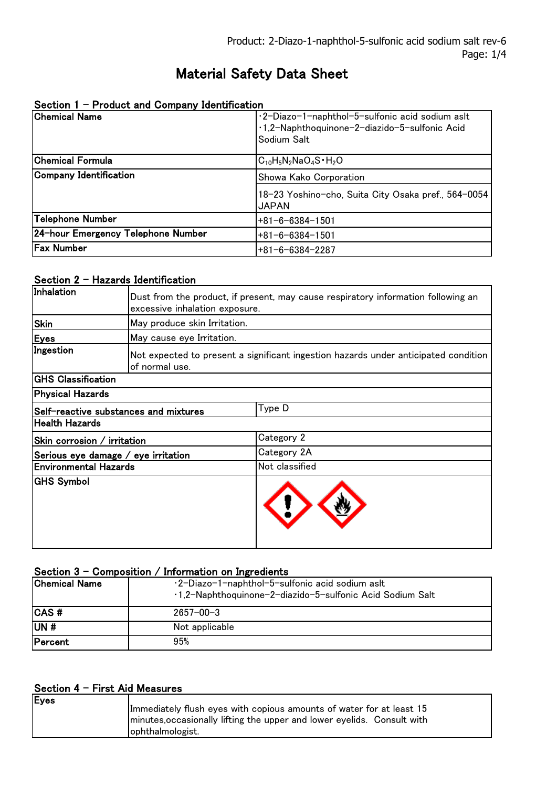# Material Safety Data Sheet

| The cause and company recitements.<br><b>Chemical Name</b> | ·2-Diazo-1-naphthol-5-sulfonic acid sodium aslt<br>1.2-Naphthoquinone-2-diazido-5-sulfonic Acid |
|------------------------------------------------------------|-------------------------------------------------------------------------------------------------|
|                                                            | Sodium Salt                                                                                     |
| <b>Chemical Formula</b>                                    | $C_{10}H_5N_2NaO_4S \cdot H_2O$                                                                 |
| Company Identification                                     | Showa Kako Corporation                                                                          |
|                                                            | 18–23 Yoshino-cho, Suita City Osaka pref., 564–0054<br><b>JAPAN</b>                             |
| Telephone Number                                           | $+81-6-6384-1501$                                                                               |
| 24-hour Emergency Telephone Number                         | $+81-6-6384-1501$                                                                               |
| <b>Fax Number</b>                                          | $+81-6-6384-2287$                                                                               |

# Section 1 - Product and Company Identification

# Section  $2 -$  Hazards Identification

| Inhalation                                      | Dust from the product, if present, may cause respiratory information following an<br>excessive inhalation exposure. |                |
|-------------------------------------------------|---------------------------------------------------------------------------------------------------------------------|----------------|
| <b>Skin</b>                                     | May produce skin Irritation.                                                                                        |                |
| <b>Eyes</b>                                     | May cause eye Irritation.                                                                                           |                |
| Ingestion                                       | Not expected to present a significant ingestion hazards under anticipated condition<br>of normal use.               |                |
| <b>GHS Classification</b>                       |                                                                                                                     |                |
| <b>Physical Hazards</b>                         |                                                                                                                     |                |
| Type D<br>Self-reactive substances and mixtures |                                                                                                                     |                |
| <b>Health Hazards</b>                           |                                                                                                                     |                |
| Skin corrosion / irritation                     |                                                                                                                     | Category 2     |
| Serious eye damage / eye irritation             |                                                                                                                     | Category 2A    |
| <b>Environmental Hazards</b>                    |                                                                                                                     | Not classified |
| <b>GHS Symbol</b>                               |                                                                                                                     |                |

# Section  $3$  - Composition / Information on Ingredients

| Chemical Name | ·2-Diazo-1-naphthol-5-sulfonic acid sodium aslt<br>1,2-Naphthoquinone-2-diazido-5-sulfonic Acid Sodium Salt |
|---------------|-------------------------------------------------------------------------------------------------------------|
| <b>CAS#</b>   | $2657 - 00 - 3$                                                                                             |
| UN#           | Not applicable                                                                                              |
| Percent       | 95%                                                                                                         |

### Section 4 - First Aid Measures

| ophthalmologist. | Eyes | Immediately flush eyes with copious amounts of water for at least 15<br>minutes, occasionally lifting the upper and lower eyelids. Consult with |
|------------------|------|-------------------------------------------------------------------------------------------------------------------------------------------------|
|------------------|------|-------------------------------------------------------------------------------------------------------------------------------------------------|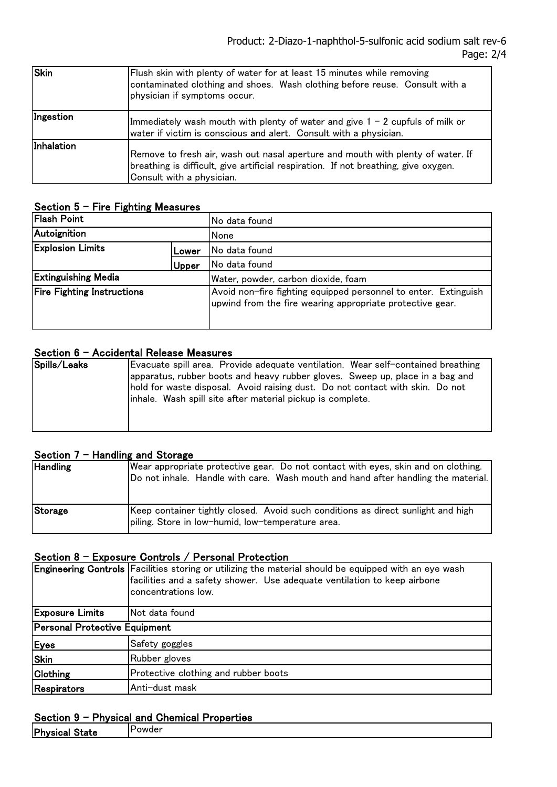| <b>Skin</b> | Flush skin with plenty of water for at least 15 minutes while removing<br>contaminated clothing and shoes. Wash clothing before reuse. Consult with a<br>physician if symptoms occur.               |
|-------------|-----------------------------------------------------------------------------------------------------------------------------------------------------------------------------------------------------|
| Ingestion   | Immediately wash mouth with plenty of water and give $1 - 2$ cupfuls of milk or<br>water if victim is conscious and alert. Consult with a physician.                                                |
| Inhalation  | Remove to fresh air, wash out nasal aperture and mouth with plenty of water. If<br>breathing is difficult, give artificial respiration. If not breathing, give oxygen.<br>Consult with a physician. |

#### Section  $5$  – Fire Fighting Measures

| <b>Flash Point</b>                |       | No data found                                                                                                                |
|-----------------------------------|-------|------------------------------------------------------------------------------------------------------------------------------|
| Autoignition                      |       | None                                                                                                                         |
| <b>Explosion Limits</b><br>Lower  |       | No data found                                                                                                                |
|                                   | Upper | No data found                                                                                                                |
| <b>Extinguishing Media</b>        |       | Water, powder, carbon dioxide, foam                                                                                          |
| <b>Fire Fighting Instructions</b> |       | Avoid non-fire fighting equipped personnel to enter. Extinguish<br>upwind from the fire wearing appropriate protective gear. |

# Section 6 - Accidental Release Measures

| Spills/Leaks | Evacuate spill area. Provide adequate ventilation. Wear self-contained breathing |
|--------------|----------------------------------------------------------------------------------|
|              | apparatus, rubber boots and heavy rubber gloves. Sweep up, place in a bag and    |
|              | hold for waste disposal. Avoid raising dust. Do not contact with skin. Do not    |
|              | linhale. Wash spill site after material pickup is complete.                      |
|              |                                                                                  |
|              |                                                                                  |

# Section  $7 -$  Handling and Storage

| <b>Handling</b> | Wear appropriate protective gear. Do not contact with eyes, skin and on clothing.<br>Do not inhale. Handle with care. Wash mouth and hand after handling the material. |
|-----------------|------------------------------------------------------------------------------------------------------------------------------------------------------------------------|
| Storage         | Keep container tightly closed. Avoid such conditions as direct sunlight and high<br>piling. Store in low-humid, low-temperature area.                                  |

### Section 8 - Exposure Controls / Personal Protection

|                               | Engineering Controls Facilities storing or utilizing the material should be equipped with an eye wash<br>facilities and a safety shower. Use adequate ventilation to keep airbone<br>concentrations low. |  |
|-------------------------------|----------------------------------------------------------------------------------------------------------------------------------------------------------------------------------------------------------|--|
| <b>Exposure Limits</b>        | Not data found                                                                                                                                                                                           |  |
| Personal Protective Equipment |                                                                                                                                                                                                          |  |
| <b>Eyes</b>                   | Safety goggles                                                                                                                                                                                           |  |
| Skin                          | Rubber gloves                                                                                                                                                                                            |  |
| <b>Clothing</b>               | Protective clothing and rubber boots                                                                                                                                                                     |  |
| Respirators                   | Anti-dust mask                                                                                                                                                                                           |  |

# Section 9 - Physical and Chemical Properties

| Physical State | <b>IPowder</b> |
|----------------|----------------|
|----------------|----------------|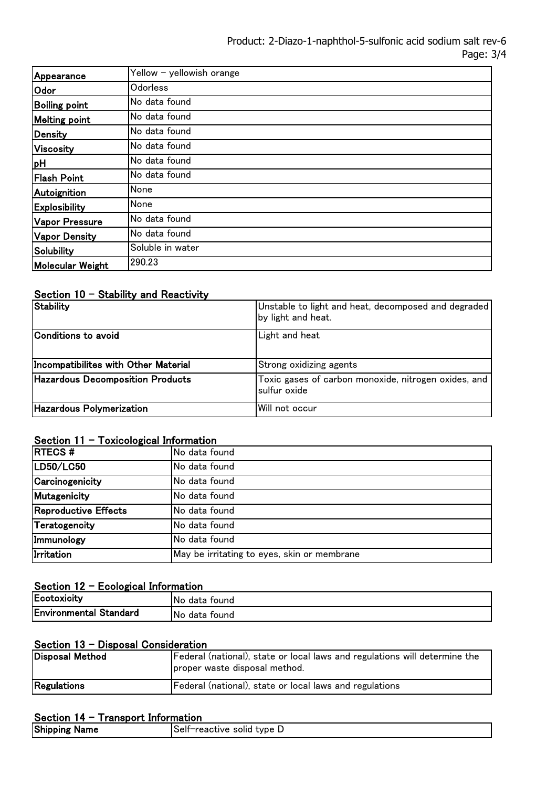| Appearance           | Yellow - yellowish orange |
|----------------------|---------------------------|
| Odor                 | Odorless                  |
| <b>Boiling point</b> | No data found             |
| <b>Melting point</b> | No data found             |
| Density              | No data found             |
| Viscosity            | No data found             |
| pH                   | No data found             |
| <b>Flash Point</b>   | No data found             |
| Autoignition         | None                      |
| <b>Explosibility</b> | None                      |
| Vapor Pressure       | No data found             |
| <b>Vapor Density</b> | No data found             |
| <b>Solubility</b>    | Soluble in water          |
| Molecular Weight     | 290.23                    |

# Section  $10 -$  Stability and Reactivity

| <b>Stability</b>                        | Unstable to light and heat, decomposed and degraded<br>by light and heat. |
|-----------------------------------------|---------------------------------------------------------------------------|
| Conditions to avoid                     | Light and heat                                                            |
| Incompatibilites with Other Material    | Strong oxidizing agents                                                   |
| <b>Hazardous Decomposition Products</b> | Toxic gases of carbon monoxide, nitrogen oxides, and<br>sulfur oxide      |
| <b>Hazardous Polymerization</b>         | Will not occur                                                            |

# Section  $11 -$  Toxicological Information

| <b>RTECS#</b>        | No data found                               |  |  |
|----------------------|---------------------------------------------|--|--|
| LD50/LC50            | No data found                               |  |  |
| Carcinogenicity      | No data found                               |  |  |
| Mutagenicity         | No data found                               |  |  |
| Reproductive Effects | No data found                               |  |  |
| Teratogencity        | No data found                               |  |  |
| Immunology           | No data found                               |  |  |
| Irritation           | May be irritating to eyes, skin or membrane |  |  |

# Section 12 - Ecological Information

| Ecotoxicity                   | No.<br>data found      |
|-------------------------------|------------------------|
| <b>Environmental Standard</b> | No.<br>tound :<br>data |

# Section 13 - Disposal Consideration

| Disposal Method | Federal (national), state or local laws and regulations will determine the<br>proper waste disposal method. |
|-----------------|-------------------------------------------------------------------------------------------------------------|
| Regulations     | Federal (national), state or local laws and regulations                                                     |

# Section 14 - Transport Information

| UUULIVII IT<br>11 ansport monitation |                             |  |
|--------------------------------------|-----------------------------|--|
| <b>Shipping Name</b>                 | ∣Self−reactive solid type D |  |
|                                      |                             |  |